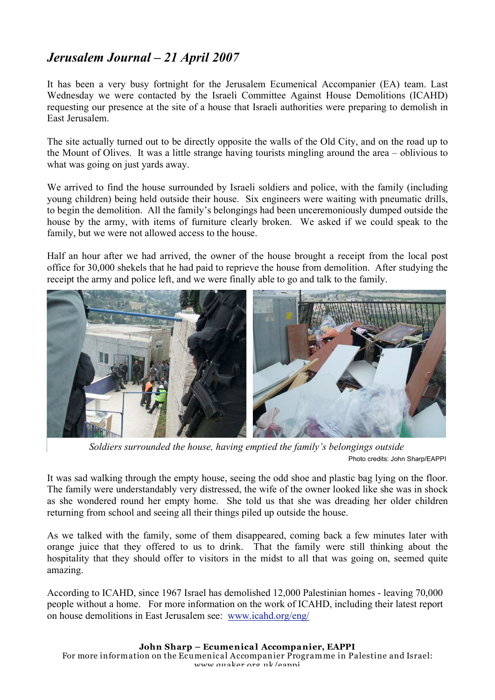## *Jerusalem Journal – 21 April 2007*

It has been a very busy fortnight for the Jerusalem Ecumenical Accompanier (EA) team. Last Wednesday we were contacted by the Israeli Committee Against House Demolitions (ICAHD) requesting our presence at the site of a house that Israeli authorities were preparing to demolish in East Jerusalem.

The site actually turned out to be directly opposite the walls of the Old City, and on the road up to the Mount of Olives. It was a little strange having tourists mingling around the area – oblivious to what was going on just yards away.

We arrived to find the house surrounded by Israeli soldiers and police, with the family (including young children) being held outside their house. Six engineers were waiting with pneumatic drills, to begin the demolition. All the family's belongings had been unceremoniously dumped outside the house by the army, with items of furniture clearly broken. We asked if we could speak to the family, but we were not allowed access to the house.

Half an hour after we had arrived, the owner of the house brought a receipt from the local post office for 30,000 shekels that he had paid to reprieve the house from demolition. After studying the receipt the army and police left, and we were finally able to go and talk to the family.



*Soldiers surrounded the house, having emptied the family's belongings outside* Photo credits: John Sharp/EAPPI

It was sad walking through the empty house, seeing the odd shoe and plastic bag lying on the floor. The family were understandably very distressed, the wife of the owner looked like she was in shock as she wondered round her empty home. She told us that she was dreading her older children returning from school and seeing all their things piled up outside the house.

As we talked with the family, some of them disappeared, coming back a few minutes later with orange juice that they offered to us to drink. That the family were still thinking about the hospitality that they should offer to visitors in the midst to all that was going on, seemed quite amazing.

According to ICAHD, since 1967 Israel has demolished 12,000 Palestinian homes - leaving 70,000 people without a home. For more information on the work of ICAHD, including their latest report on house demolitions in East Jerusalem see: www.icahd.org/eng/

**John Sharp – Ecumenical Accompanier, EAPPI** For more information on the Ecumenical Accompanier Programme in Palestine and Israel: www.quaker.org.uk/eappi